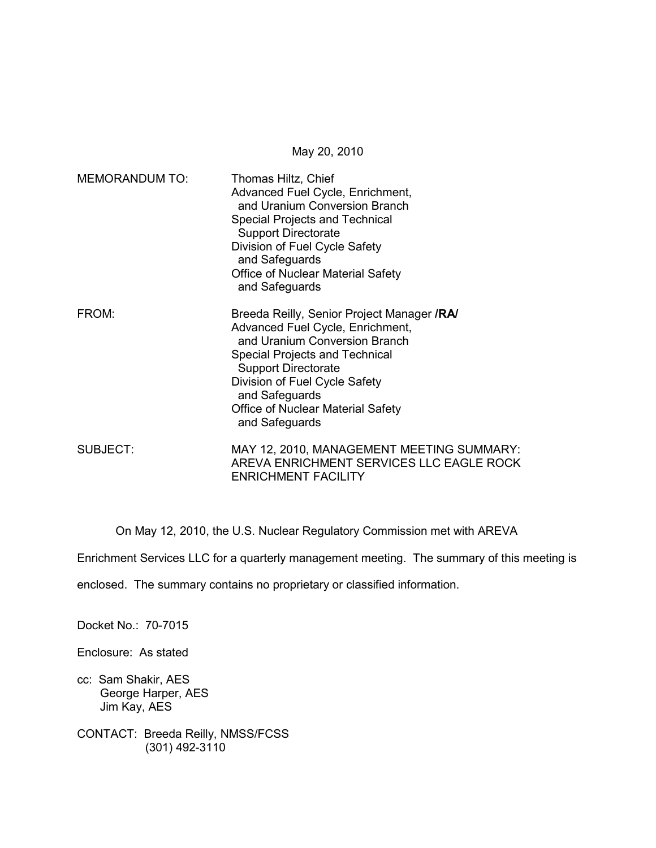May 20, 2010

| <b>MEMORANDUM TO:</b> | Thomas Hiltz, Chief<br>Advanced Fuel Cycle, Enrichment,<br>and Uranium Conversion Branch<br>Special Projects and Technical<br><b>Support Directorate</b><br>Division of Fuel Cycle Safety<br>and Safeguards<br>Office of Nuclear Material Safety<br>and Safeguards                               |
|-----------------------|--------------------------------------------------------------------------------------------------------------------------------------------------------------------------------------------------------------------------------------------------------------------------------------------------|
| FROM:                 | Breeda Reilly, Senior Project Manager /RA/<br>Advanced Fuel Cycle, Enrichment,<br>and Uranium Conversion Branch<br><b>Special Projects and Technical</b><br><b>Support Directorate</b><br>Division of Fuel Cycle Safety<br>and Safeguards<br>Office of Nuclear Material Safety<br>and Safeguards |
| <b>SUBJECT:</b>       | MAY 12, 2010, MANAGEMENT MEETING SUMMARY:<br>AREVA ENRICHMENT SERVICES LLC EAGLE ROCK<br><b>ENRICHMENT FACILITY</b>                                                                                                                                                                              |

On May 12, 2010, the U.S. Nuclear Regulatory Commission met with AREVA

Enrichment Services LLC for a quarterly management meeting. The summary of this meeting is

enclosed. The summary contains no proprietary or classified information.

Docket No.: 70-7015

Enclosure: As stated

- cc: Sam Shakir, AES George Harper, AES Jim Kay, AES
- CONTACT: Breeda Reilly, NMSS/FCSS (301) 492-3110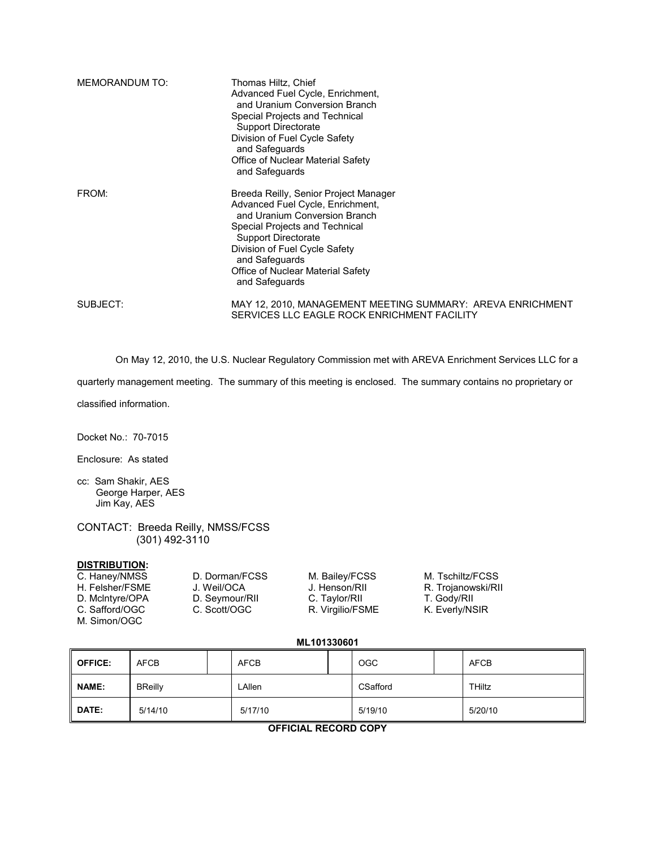| <b>MEMORANDUM TO:</b> | Thomas Hiltz, Chief<br>Advanced Fuel Cycle, Enrichment,<br>and Uranium Conversion Branch<br>Special Projects and Technical<br><b>Support Directorate</b><br>Division of Fuel Cycle Safety<br>and Safeguards<br>Office of Nuclear Material Safety<br>and Safeguards            |
|-----------------------|-------------------------------------------------------------------------------------------------------------------------------------------------------------------------------------------------------------------------------------------------------------------------------|
| FROM:                 | Breeda Reilly, Senior Project Manager<br>Advanced Fuel Cycle, Enrichment,<br>and Uranium Conversion Branch<br>Special Projects and Technical<br>Support Directorate<br>Division of Fuel Cycle Safety<br>and Safeguards<br>Office of Nuclear Material Safety<br>and Safeguards |
| SUBJECT:              | MAY 12, 2010, MANAGEMENT MEETING SUMMARY: AREVA ENRICHMENT<br>SERVICES LLC EAGLE ROCK ENRICHMENT FACILITY                                                                                                                                                                     |

On May 12, 2010, the U.S. Nuclear Regulatory Commission met with AREVA Enrichment Services LLC for a

quarterly management meeting. The summary of this meeting is enclosed. The summary contains no proprietary or

classified information.

Docket No.: 70-7015

Enclosure: As stated

- cc: Sam Shakir, AES George Harper, AES Jim Kay, AES
- CONTACT: Breeda Reilly, NMSS/FCSS (301) 492-3110

# **DISTRIBUTION:**<br>C. Haney/NMSS

M. Simon/OGC

D. McIntyre/OPA D. Seymour/RII C. Taylor/RII T. Gody/RII<br>C. Safford/OGC C. Scott/OGC R. Virgilio/FSME K. Everly/NSIR R. Virgilio/FSME

D. Dorman/FCSS M. Bailey/FCSS M. Tschiltz/FCSS<br>
J. Weil/OCA J. Henson/RII R. Trojanowski/RI H. Felsher/FSME J. Weil/OCA J. Henson/RII R. Trojanowski/RII<br>
D. McIntyre/OPA D. Seymour/RII C. Taylor/RII T. Gody/RII

**ML101330601** 

| <b>OFFICE:</b> | <b>AFCB</b>    |  | <b>AFCB</b> |  | <b>OGC</b> |  | AFCB    |
|----------------|----------------|--|-------------|--|------------|--|---------|
| <b>NAME:</b>   | <b>BReilly</b> |  | _Allen      |  | CSafford   |  | THiltz  |
| DATE:          | 5/14/10        |  | 5/17/10     |  | 5/19/10    |  | 5/20/10 |

**OFFICIAL RECORD COPY**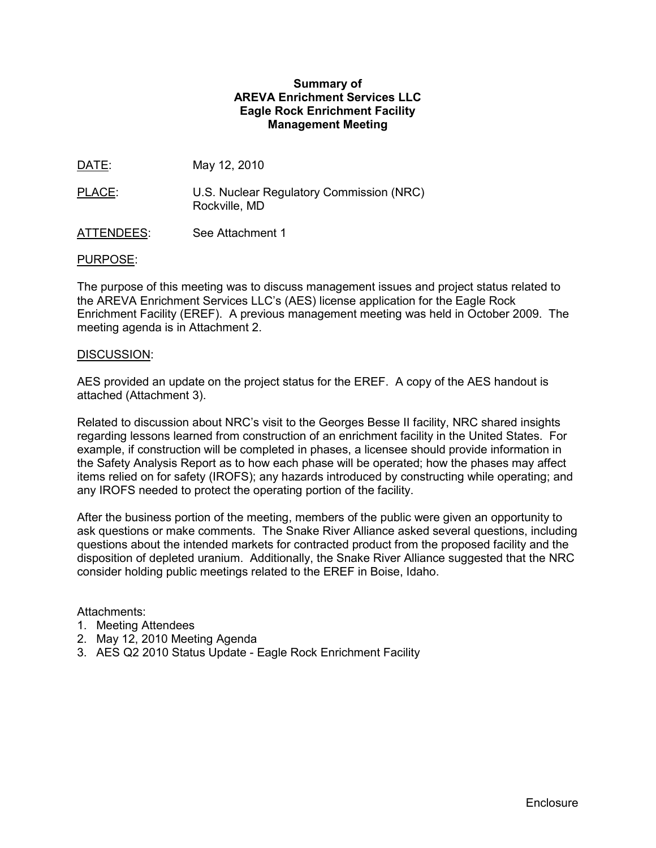## **Summary of AREVA Enrichment Services LLC Eagle Rock Enrichment Facility Management Meeting**

DATE: May 12, 2010

- PLACE: U.S. Nuclear Regulatory Commission (NRC) Rockville, MD
- ATTENDEES: See Attachment 1

## PURPOSE:

The purpose of this meeting was to discuss management issues and project status related to the AREVA Enrichment Services LLC's (AES) license application for the Eagle Rock Enrichment Facility (EREF). A previous management meeting was held in October 2009. The meeting agenda is in Attachment 2.

#### DISCUSSION:

AES provided an update on the project status for the EREF. A copy of the AES handout is attached (Attachment 3).

Related to discussion about NRC's visit to the Georges Besse II facility, NRC shared insights regarding lessons learned from construction of an enrichment facility in the United States. For example, if construction will be completed in phases, a licensee should provide information in the Safety Analysis Report as to how each phase will be operated; how the phases may affect items relied on for safety (IROFS); any hazards introduced by constructing while operating; and any IROFS needed to protect the operating portion of the facility.

After the business portion of the meeting, members of the public were given an opportunity to ask questions or make comments. The Snake River Alliance asked several questions, including questions about the intended markets for contracted product from the proposed facility and the disposition of depleted uranium. Additionally, the Snake River Alliance suggested that the NRC consider holding public meetings related to the EREF in Boise, Idaho.

## Attachments:

- 1. Meeting Attendees
- 2. May 12, 2010 Meeting Agenda
- 3. AES Q2 2010 Status Update Eagle Rock Enrichment Facility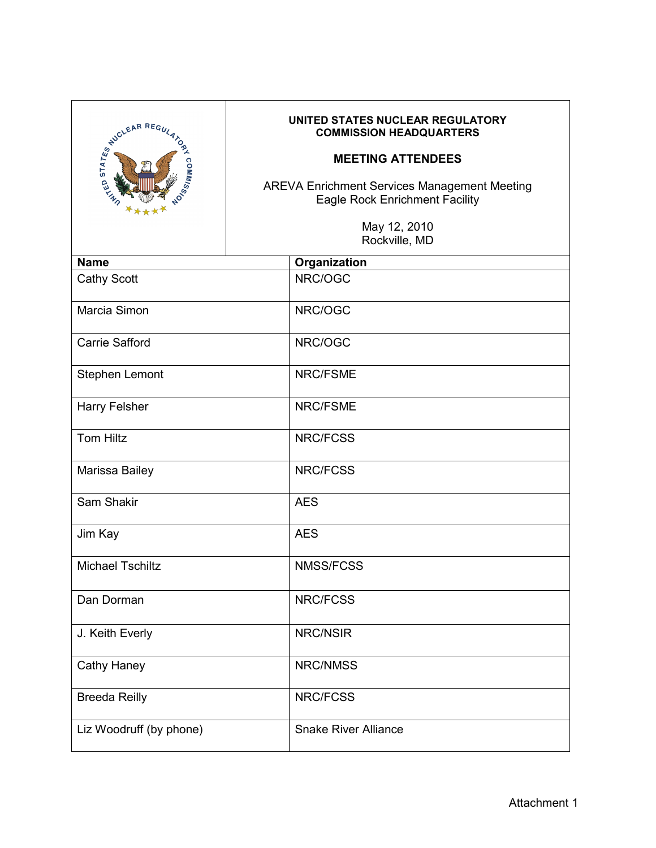| FUCLEAR REGULA ,        | UNITED STATES NUCLEAR REGULATORY<br><b>COMMISSION HEADQUARTERS</b><br><b>MEETING ATTENDEES</b><br><b>AREVA Enrichment Services Management Meeting</b><br><b>Eagle Rock Enrichment Facility</b><br>May 12, 2010<br>Rockville, MD |  |  |
|-------------------------|---------------------------------------------------------------------------------------------------------------------------------------------------------------------------------------------------------------------------------|--|--|
| <b>Name</b>             |                                                                                                                                                                                                                                 |  |  |
|                         | Organization                                                                                                                                                                                                                    |  |  |
| <b>Cathy Scott</b>      | NRC/OGC                                                                                                                                                                                                                         |  |  |
| Marcia Simon            | NRC/OGC                                                                                                                                                                                                                         |  |  |
| Carrie Safford          | NRC/OGC                                                                                                                                                                                                                         |  |  |
| Stephen Lemont          | <b>NRC/FSME</b>                                                                                                                                                                                                                 |  |  |
| <b>Harry Felsher</b>    | NRC/FSME                                                                                                                                                                                                                        |  |  |
| <b>Tom Hiltz</b>        | <b>NRC/FCSS</b>                                                                                                                                                                                                                 |  |  |
| Marissa Bailey          | <b>NRC/FCSS</b>                                                                                                                                                                                                                 |  |  |
| Sam Shakir              | <b>AES</b>                                                                                                                                                                                                                      |  |  |
| Jim Kay                 | <b>AES</b>                                                                                                                                                                                                                      |  |  |
| <b>Michael Tschiltz</b> | <b>NMSS/FCSS</b>                                                                                                                                                                                                                |  |  |
| Dan Dorman              | NRC/FCSS                                                                                                                                                                                                                        |  |  |
| J. Keith Everly         | NRC/NSIR                                                                                                                                                                                                                        |  |  |
| <b>Cathy Haney</b>      | NRC/NMSS                                                                                                                                                                                                                        |  |  |
| <b>Breeda Reilly</b>    | NRC/FCSS                                                                                                                                                                                                                        |  |  |
| Liz Woodruff (by phone) | <b>Snake River Alliance</b>                                                                                                                                                                                                     |  |  |